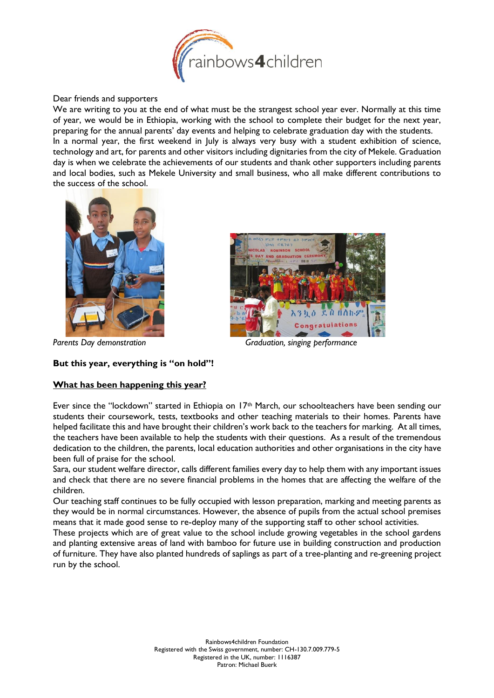

Dear friends and supporters

We are writing to you at the end of what must be the strangest school year ever. Normally at this time of year, we would be in Ethiopia, working with the school to complete their budget for the next year, preparing for the annual parents' day events and helping to celebrate graduation day with the students. In a normal year, the first weekend in July is always very busy with a student exhibition of science, technology and art, for parents and other visitors including dignitaries from the city of Mekele. Graduation day is when we celebrate the achievements of our students and thank other supporters including parents and local bodies, such as Mekele University and small business, who all make different contributions to the success of the school.



 $\lambda$   $0$   $h$ ,  $9$ 

Parents Day demonstration and a series of Graduation, singing performance

## **But this year, everything is "on hold"!**

## **What has been happening this year?**

Ever since the "lockdown" started in Ethiopia on 17th March, our schoolteachers have been sending our students their coursework, tests, textbooks and other teaching materials to their homes. Parents have helped facilitate this and have brought their children's work back to the teachers for marking. At all times, the teachers have been available to help the students with their questions. As a result of the tremendous dedication to the children, the parents, local education authorities and other organisations in the city have been full of praise for the school.

Sara, our student welfare director, calls different families every day to help them with any important issues and check that there are no severe financial problems in the homes that are affecting the welfare of the children.

Our teaching staff continues to be fully occupied with lesson preparation, marking and meeting parents as they would be in normal circumstances. However, the absence of pupils from the actual school premises means that it made good sense to re-deploy many of the supporting staff to other school activities.

These projects which are of great value to the school include growing vegetables in the school gardens and planting extensive areas of land with bamboo for future use in building construction and production of furniture. They have also planted hundreds of saplings as part of a tree-planting and re-greening project run by the school.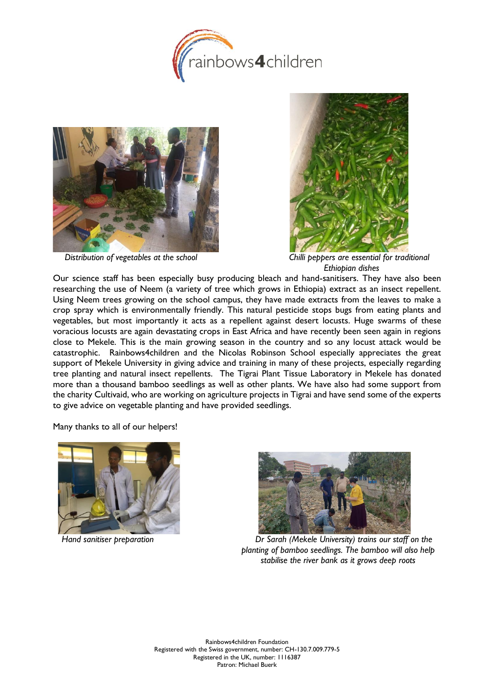





*Distribution of vegetables at the school Chilli peppers are essential for traditional Ethiopian dishes*

Our science staff has been especially busy producing bleach and hand-sanitisers. They have also been researching the use of Neem (a variety of tree which grows in Ethiopia) extract as an insect repellent. Using Neem trees growing on the school campus, they have made extracts from the leaves to make a crop spray which is environmentally friendly. This natural pesticide stops bugs from eating plants and vegetables, but most importantly it acts as a repellent against desert locusts. Huge swarms of these voracious locusts are again devastating crops in East Africa and have recently been seen again in regions close to Mekele. This is the main growing season in the country and so any locust attack would be catastrophic. Rainbows4children and the Nicolas Robinson School especially appreciates the great support of Mekele University in giving advice and training in many of these projects, especially regarding tree planting and natural insect repellents. The Tigrai Plant Tissue Laboratory in Mekele has donated more than a thousand bamboo seedlings as well as other plants. We have also had some support from the charity Cultivaid, who are working on agriculture projects in Tigrai and have send some of the experts to give advice on vegetable planting and have provided seedlings.

Many thanks to all of our helpers!





*Hand sanitiser preparation Dr Sarah (Mekele University) trains our staff on the planting of bamboo seedlings. The bamboo will also help stabilise the river bank as it grows deep roots*